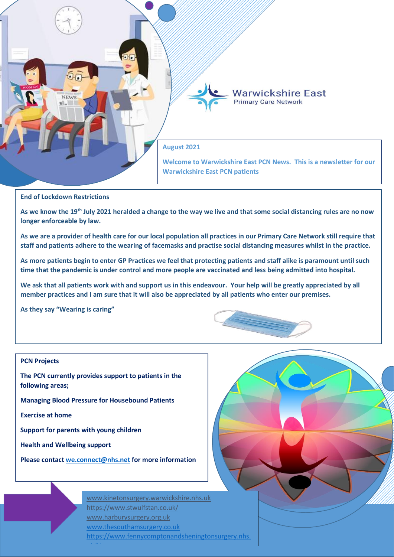

# **End of Lockdown Restrictions**

**As we know the 19th July 2021 heralded a change to the way we live and that some social distancing rules are no now longer enforceable by law.**

**As we are a provider of health care for our local population all practices in our Primary Care Network still require that staff and patients adhere to the wearing of facemasks and practise social distancing measures whilst in the practice.**

**As more patients begin to enter GP Practices we feel that protecting patients and staff alike is paramount until such time that the pandemic is under control and more people are vaccinated and less being admitted into hospital.** 

**We ask that all patients work with and support us in this endeavour. Your help will be greatly appreciated by all member practices and I am sure that it will also be appreciated by all patients who enter our premises.**

**As they say "Wearing is caring"**

# **PCN Projects**

**The PCN currently provides support to patients in the following areas;**

**Managing Blood Pressure for Housebound Patients**

**Exercise at home**

**Support for parents with young children**

**Health and Wellbeing support**

**Please contact [we.connect@nhs.net](mailto:we.connect@nhs.net) for more information**

[www.kinetonsurgery.warwickshire.nhs.uk](http://www.kinetonsurgery.warwickshire.nhs.uk/) <https://www.stwulfstan.co.uk/> [www.harburysurgery.org.uk](http://www.harburysurgery.org.uk/) [www.thesouthamsurgery.co.uk](http://www.thesouthamsurgery.co.uk/)  https://www.fennycomptonandsheningtonsurgery.nhs. uk/Home<br>Home

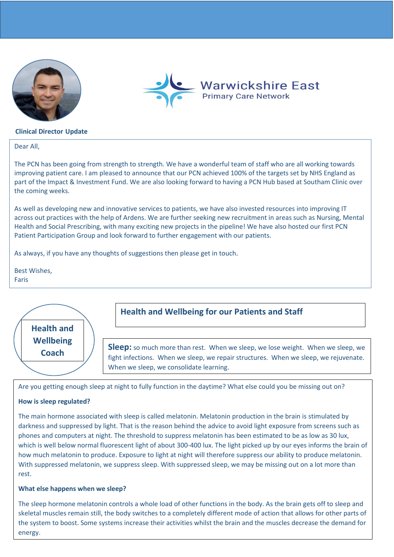



## **Clinical Director Update**

Dear All,

The PCN has been going from strength to strength. We have a wonderful team of staff who are all working towards improving patient care. I am pleased to announce that our PCN achieved 100% of the targets set by NHS England as part of the Impact & Investment Fund. We are also looking forward to having a PCN Hub based at Southam Clinic over the coming weeks.

As well as developing new and innovative services to patients, we have also invested resources into improving IT across out practices with the help of Ardens. We are further seeking new recruitment in areas such as Nursing, Mental Health and Social Prescribing, with many exciting new projects in the pipeline! We have also hosted our first PCN Patient Participation Group and look forward to further engagement with our patients.

As always, if you have any thoughts of suggestions then please get in touch.

Best Wishes, Faris



Are you getting enough sleep at night to fully function in the daytime? What else could you be missing out on?

# **How is sleep regulated?**

The main hormone associated with sleep is called melatonin. Melatonin production in the brain is stimulated by darkness and suppressed by light. That is the reason behind the advice to avoid light exposure from screens such as phones and computers at night. The threshold to suppress melatonin has been estimated to be as low as 30 lux, which is well below normal fluorescent light of about 300-400 lux. The light picked up by our eyes informs the brain of how much melatonin to produce. Exposure to light at night will therefore suppress our ability to produce melatonin. With suppressed melatonin, we suppress sleep. With suppressed sleep, we may be missing out on a lot more than rest.

## **What else happens when we sleep?**

The sleep hormone melatonin controls a whole load of other functions in the body. As the brain gets off to sleep and skeletal muscles remain still, the body switches to a completely different mode of action that allows for other parts of the system to boost. Some systems increase their activities whilst the brain and the muscles decrease the demand for energy.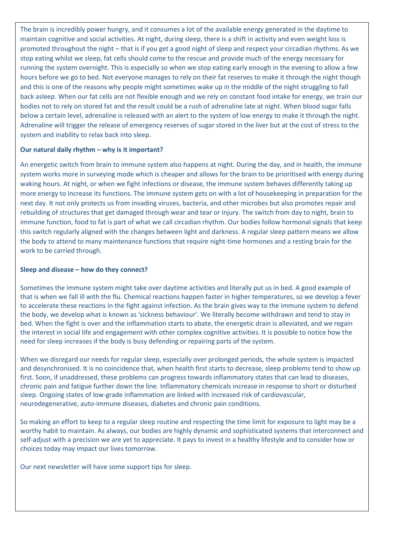The brain is incredibly power hungry, and it consumes a lot of the available energy generated in the daytime to maintain cognitive and social activities. At night, during sleep, there is a shift in activity and even weight loss is promoted throughout the night – that is if you get a good night of sleep and respect your circadian rhythms. As we stop eating whilst we sleep, fat cells should come to the rescue and provide much of the energy necessary for running the system overnight. This is especially so when we stop eating early enough in the evening to allow a few hours before we go to bed. Not everyone manages to rely on their fat reserves to make it through the night though and this is one of the reasons why people might sometimes wake up in the middle of the night struggling to fall back asleep. When our fat cells are not flexible enough and we rely on constant food intake for energy, we train our bodies not to rely on stored fat and the result could be a rush of adrenaline late at night. When blood sugar falls below a certain level, adrenaline is released with an alert to the system of low energy to make it through the night. Adrenaline will trigger the release of emergency reserves of sugar stored in the liver but at the cost of stress to the system and inability to relax back into sleep.

# **Our natural daily rhythm – why is it important?**

An energetic switch from brain to immune system also happens at night. During the day, and in health, the immune system works more in surveying mode which is cheaper and allows for the brain to be prioritised with energy during waking hours. At night, or when we fight infections or disease, the immune system behaves differently taking up more energy to increase its functions. The immune system gets on with a lot of housekeeping in preparation for the next day. It not only protects us from invading viruses, bacteria, and other microbes but also promotes repair and rebuilding of structures that get damaged through wear and tear or injury. The switch from day to night, brain to immune function, food to fat is part of what we call circadian rhythm. Our bodies follow hormonal signals that keep this switch regularly aligned with the changes between light and darkness. A regular sleep pattern means we allow the body to attend to many maintenance functions that require night-time hormones and a resting brain for the work to be carried through.

# **Sleep and disease – how do they connect?**

Sometimes the immune system might take over daytime activities and literally put us in bed. A good example of that is when we fall ill with the flu. Chemical reactions happen faster in higher temperatures, so we develop a fever to accelerate these reactions in the fight against infection. As the brain gives way to the immune system to defend the body, we develop what is known as 'sickness behaviour'. We literally become withdrawn and tend to stay in bed. When the fight is over and the inflammation starts to abate, the energetic drain is alleviated, and we regain the interest in social life and engagement with other complex cognitive activities. It is possible to notice how the need for sleep increases if the body is busy defending or repairing parts of the system.

When we disregard our needs for regular sleep, especially over prolonged periods, the whole system is impacted and desynchronised. It is no coincidence that, when health first starts to decrease, sleep problems tend to show up first. Soon, if unaddressed, these problems can progress towards inflammatory states that can lead to diseases, chronic pain and fatigue further down the line. Inflammatory chemicals increase in response to short or disturbed sleep. Ongoing states of low-grade inflammation are linked with increased risk of cardiovascular, neurodegenerative, auto-immune diseases, diabetes and chronic pain conditions.

So making an effort to keep to a regular sleep routine and respecting the time limit for exposure to light may be a worthy habit to maintain. As always, our bodies are highly dynamic and sophisticated systems that interconnect and self-adjust with a precision we are yet to appreciate. It pays to invest in a healthy lifestyle and to consider how or choices today may impact our lives tomorrow.

Our next newsletter will have some support tips for sleep.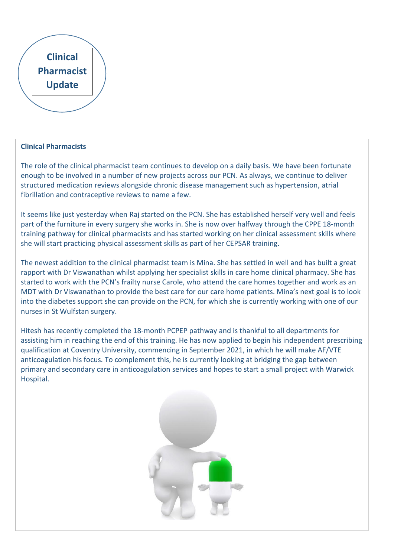# **Clinical Pharmacist Update**

# **Clinical Pharmacists**

The role of the clinical pharmacist team continues to develop on a daily basis. We have been fortunate enough to be involved in a number of new projects across our PCN. As always, we continue to deliver structured medication reviews alongside chronic disease management such as hypertension, atrial fibrillation and contraceptive reviews to name a few.

It seems like just yesterday when Raj started on the PCN. She has established herself very well and feels part of the furniture in every surgery she works in. She is now over halfway through the CPPE 18-month training pathway for clinical pharmacists and has started working on her clinical assessment skills where she will start practicing physical assessment skills as part of her CEPSAR training.

The newest addition to the clinical pharmacist team is Mina. She has settled in well and has built a great rapport with Dr Viswanathan whilst applying her specialist skills in care home clinical pharmacy. She has started to work with the PCN's frailty nurse Carole, who attend the care homes together and work as an MDT with Dr Viswanathan to provide the best care for our care home patients. Mina's next goal is to look into the diabetes support she can provide on the PCN, for which she is currently working with one of our nurses in St Wulfstan surgery.

Hitesh has recently completed the 18-month PCPEP pathway and is thankful to all departments for assisting him in reaching the end of this training. He has now applied to begin his independent prescribing qualification at Coventry University, commencing in September 2021, in which he will make AF/VTE anticoagulation his focus. To complement this, he is currently looking at bridging the gap between primary and secondary care in anticoagulation services and hopes to start a small project with Warwick Hospital.

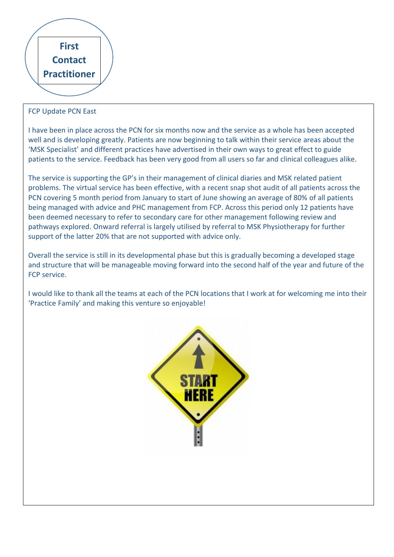

# FCP Update PCN East

I have been in place across the PCN for six months now and the service as a whole has been accepted well and is developing greatly. Patients are now beginning to talk within their service areas about the 'MSK Specialist' and different practices have advertised in their own ways to great effect to guide patients to the service. Feedback has been very good from all users so far and clinical colleagues alike.

The service is supporting the GP's in their management of clinical diaries and MSK related patient problems. The virtual service has been effective, with a recent snap shot audit of all patients across the PCN covering 5 month period from January to start of June showing an average of 80% of all patients being managed with advice and PHC management from FCP. Across this period only 12 patients have been deemed necessary to refer to secondary care for other management following review and pathways explored. Onward referral is largely utilised by referral to MSK Physiotherapy for further support of the latter 20% that are not supported with advice only.

Overall the service is still in its developmental phase but this is gradually becoming a developed stage and structure that will be manageable moving forward into the second half of the year and future of the FCP service.

I would like to thank all the teams at each of the PCN locations that I work at for welcoming me into their 'Practice Family' and making this venture so enjoyable!